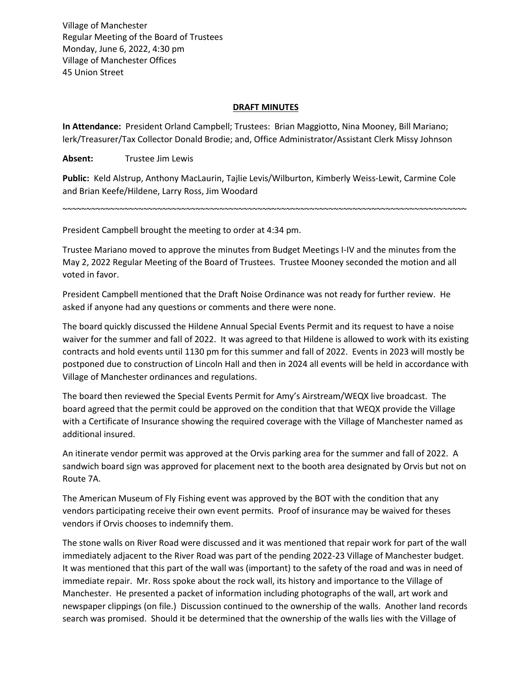Village of Manchester Regular Meeting of the Board of Trustees Monday, June 6, 2022, 4:30 pm Village of Manchester Offices 45 Union Street

## **DRAFT MINUTES**

**In Attendance:** President Orland Campbell; Trustees: Brian Maggiotto, Nina Mooney, Bill Mariano; lerk/Treasurer/Tax Collector Donald Brodie; and, Office Administrator/Assistant Clerk Missy Johnson

**Absent:** Trustee Jim Lewis

**Public:** Keld Alstrup, Anthony MacLaurin, Tajlie Levis/Wilburton, Kimberly Weiss-Lewit, Carmine Cole and Brian Keefe/Hildene, Larry Ross, Jim Woodard

~~~~~~~~~~~~~~~~~~~~~~~~~~~~~~~~~~~~~~~~~~~~~~~~~~~~~~~~~~~~~~~~~~~~~~~~~~~~~~~~~~~~~

President Campbell brought the meeting to order at 4:34 pm.

Trustee Mariano moved to approve the minutes from Budget Meetings I-IV and the minutes from the May 2, 2022 Regular Meeting of the Board of Trustees. Trustee Mooney seconded the motion and all voted in favor.

President Campbell mentioned that the Draft Noise Ordinance was not ready for further review. He asked if anyone had any questions or comments and there were none.

The board quickly discussed the Hildene Annual Special Events Permit and its request to have a noise waiver for the summer and fall of 2022. It was agreed to that Hildene is allowed to work with its existing contracts and hold events until 1130 pm for this summer and fall of 2022. Events in 2023 will mostly be postponed due to construction of Lincoln Hall and then in 2024 all events will be held in accordance with Village of Manchester ordinances and regulations.

The board then reviewed the Special Events Permit for Amy's Airstream/WEQX live broadcast. The board agreed that the permit could be approved on the condition that that WEQX provide the Village with a Certificate of Insurance showing the required coverage with the Village of Manchester named as additional insured.

An itinerate vendor permit was approved at the Orvis parking area for the summer and fall of 2022. A sandwich board sign was approved for placement next to the booth area designated by Orvis but not on Route 7A.

The American Museum of Fly Fishing event was approved by the BOT with the condition that any vendors participating receive their own event permits. Proof of insurance may be waived for theses vendors if Orvis chooses to indemnify them.

The stone walls on River Road were discussed and it was mentioned that repair work for part of the wall immediately adjacent to the River Road was part of the pending 2022-23 Village of Manchester budget. It was mentioned that this part of the wall was (important) to the safety of the road and was in need of immediate repair. Mr. Ross spoke about the rock wall, its history and importance to the Village of Manchester. He presented a packet of information including photographs of the wall, art work and newspaper clippings (on file.) Discussion continued to the ownership of the walls. Another land records search was promised. Should it be determined that the ownership of the walls lies with the Village of